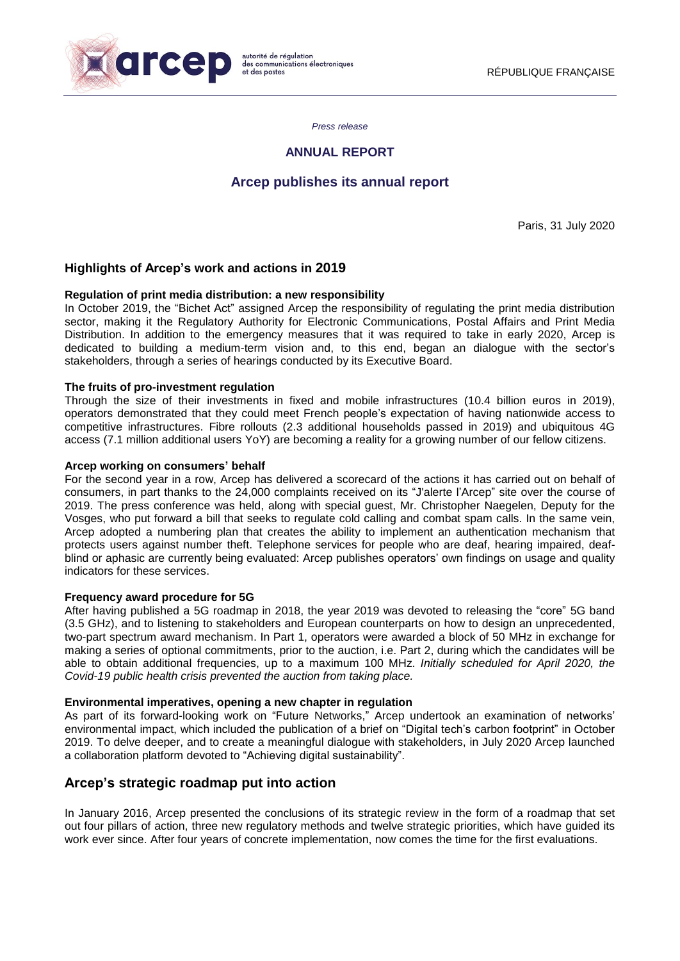

*Press release*

## **ANNUAL REPORT**

# **Arcep publishes its annual report**

Paris, 31 July 2020

## **Highlights of Arcep's work and actions in 2019**

### **Regulation of print media distribution: a new responsibility**

In October 2019, the "Bichet Act" assigned Arcep the responsibility of regulating the print media distribution sector, making it the Regulatory Authority for Electronic Communications, Postal Affairs and Print Media Distribution. In addition to the emergency measures that it was required to take in early 2020, Arcep is dedicated to building a medium-term vision and, to this end, began an dialogue with the sector's stakeholders, through a series of hearings conducted by its Executive Board.

### **The fruits of pro-investment regulation**

Through the size of their investments in fixed and mobile infrastructures (10.4 billion euros in 2019), operators demonstrated that they could meet French people's expectation of having nationwide access to competitive infrastructures. Fibre rollouts (2.3 additional households passed in 2019) and ubiquitous 4G access (7.1 million additional users YoY) are becoming a reality for a growing number of our fellow citizens.

#### **Arcep working on consumers' behalf**

For the second year in a row, Arcep has delivered a scorecard of the actions it has carried out on behalf of consumers, in part thanks to the 24,000 complaints received on its ["J'alerte](https://jalerte.arcep.fr/) l'Arcep" site over the course of 2019. The press conference was held, along with special guest, Mr. Christopher Naegelen, Deputy for the Vosges, who put forward a bill that seeks to regulate cold calling and combat spam calls. In the same vein, Arcep adopted a numbering plan that creates the ability to implement an authentication mechanism that protects users against number theft. Telephone services for people who are deaf, hearing impaired, deafblind or aphasic are currently being evaluated: Arcep publishes operators' own findings on usage and quality indicators for these services.

#### **Frequency award procedure for 5G**

After having published a 5G roadmap in 2018, the year 2019 was devoted to releasing the "core" 5G band (3.5 GHz), and to listening to stakeholders and European counterparts on how to design an unprecedented, two-part spectrum award mechanism. In Part 1, operators were awarded a block of 50 MHz in exchange for making a series of optional commitments, prior to the auction, i.e. Part 2, during which the candidates will be able to obtain additional frequencies, up to a maximum 100 MHz. *Initially scheduled for April 2020, the Covid-19 public health crisis prevented the auction from taking place.*

#### **Environmental imperatives, opening a new chapter in regulation**

As part of its forward-looking work on "Future Networks," Arcep undertook an examination of networks' environmental impact, which included the publication of a brief on "Digital tech's carbon footprint" in October 2019. To delve deeper, and to create a meaningful dialogue with stakeholders, in July 2020 Arcep launched a collaboration platform devoted to "Achieving digital sustainability".

# **Arcep's strategic roadmap put into action**

In January 2016, Arcep presented the conclusions of its strategic review in the form of a roadmap that set out four pillars of action, three new regulatory methods and twelve strategic priorities, which have guided its work ever since. After four years of concrete implementation, now comes the time for the first evaluations.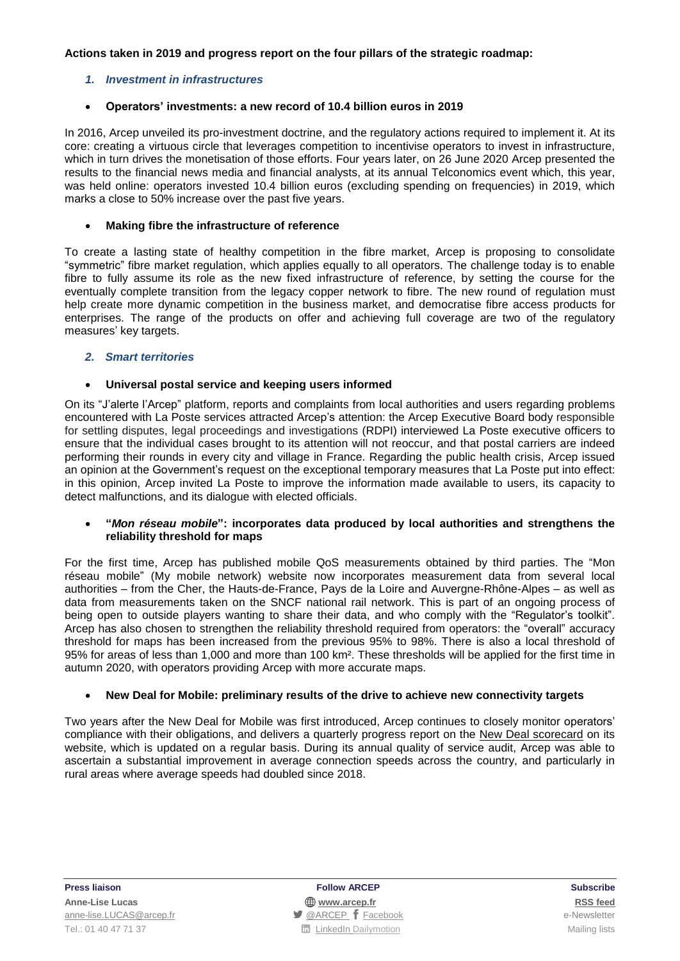## **Actions taken in 2019 and progress report on the four pillars of the strategic roadmap:**

## *1. Investment in infrastructures*

### **Operators' investments: a new record of 10.4 billion euros in 2019**

In 2016, Arcep unveiled its pro-investment doctrine, and the regulatory actions required to implement it. At its core: creating a virtuous circle that leverages competition to incentivise operators to invest in infrastructure, which in turn drives the monetisation of those efforts. Four years later, on 26 June 2020 Arcep presented the results to the financial news media and financial analysts, at its annual Telconomics event which, this year, was held online: operators invested 10.4 billion euros (excluding spending on frequencies) in 2019, which marks a close to 50% increase over the past five years.

### **Making fibre the infrastructure of reference**

To create a lasting state of healthy competition in the fibre market, Arcep is proposing to consolidate "symmetric" fibre market regulation, which applies equally to all operators. The challenge today is to enable fibre to fully assume its role as the new fixed infrastructure of reference, by setting the course for the eventually complete transition from the legacy copper network to fibre. The new round of regulation must help create more dynamic competition in the business market, and democratise fibre access products for enterprises. The range of the products on offer and achieving full coverage are two of the regulatory measures' key targets.

### *2. Smart territories*

### **Universal postal service and keeping users informed**

On its "J'alerte l'Arcep" platform, reports and complaints from local authorities and users regarding problems encountered with La Poste services attracted Arcep's attention: the Arcep Executive Board body responsible for settling disputes, legal proceedings and investigations (RDPI) interviewed La Poste executive officers to ensure that the individual cases brought to its attention will not reoccur, and that postal carriers are indeed performing their rounds in every city and village in France. Regarding the public health crisis, Arcep issued an opinion at the Government's request on the exceptional temporary measures that La Poste put into effect: in this opinion, Arcep invited La Poste to improve the information made available to users, its capacity to detect malfunctions, and its dialogue with elected officials.

#### **"***Mon réseau mobile***": incorporates data produced by local authorities and strengthens the reliability threshold for maps**

For the first time, Arcep has published mobile QoS measurements obtained by third parties. The "Mon réseau mobile" (My mobile network) website now incorporates measurement data from several local authorities – from the Cher, the Hauts-de-France, Pays de la Loire and Auvergne-Rhône-Alpes – as well as data from measurements taken on the SNCF national rail network. This is part of an ongoing process of being open to outside players wanting to share their data, and who comply with the "Regulator's toolkit". Arcep has also chosen to strengthen the reliability threshold required from operators: the "overall" accuracy threshold for maps has been increased from the previous 95% to 98%. There is also a local threshold of 95% for areas of less than 1,000 and more than 100 km². These thresholds will be applied for the first time in autumn 2020, with operators providing Arcep with more accurate maps.

## **New Deal for Mobile: preliminary results of the drive to achieve new connectivity targets**

Two years after the New Deal for Mobile was first introduced, Arcep continues to closely monitor operators' compliance with their obligations, and delivers a quarterly progress report on the New Deal [scorecard](https://www.arcep.fr/cartes-et-donnees/new-deal-mobile.html) on its website, which is updated on a regular basis. During its annual quality of service audit, Arcep was able to ascertain a substantial improvement in average connection speeds across the country, and particularly in rural areas where average speeds had doubled since 2018.

**Press liaison Follow ARCEP Subscribe Anne-Lise Lucas [www.arcep.fr](http://www.arcep.fr/) [RSS](/feed/::www.arcep.fr:?eID=tx_rssforge&feedid=2&h=14df1) feed** [anne-lise.LUCAS@arcep.fr](mailto:anne-lise.LUCAS@arcep.fr) **but announce and announce**-Newsletter **state of the e-Newsletter e-Newsletter** Tel.: 01 40 47 71 37 Mailing lists **Tel.: 01 40 47 71 37** Mailing lists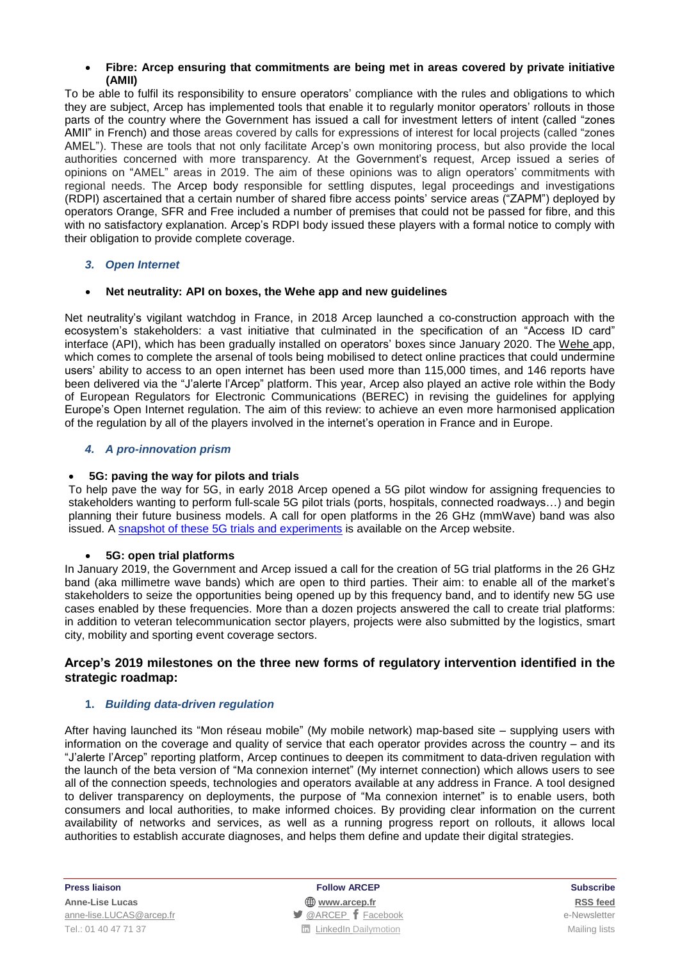### **Fibre: Arcep ensuring that commitments are being met in areas covered by private initiative (AMII)**

To be able to fulfil its responsibility to ensure operators' compliance with the rules and obligations to which they are subject, Arcep has implemented tools that enable it to regularly monitor operators' rollouts in those parts of the country where the Government has issued a call for investment letters of intent (called "zones AMII" in French) and those areas covered by calls for expressions of interest for local projects (called "zones AMEL"). These are tools that not only facilitate Arcep's own monitoring process, but also provide the local authorities concerned with more transparency. At the Government's request, Arcep issued a series of opinions on "AMEL" areas in 2019. The aim of these opinions was to align operators' commitments with regional needs. The Arcep body responsible for settling disputes, legal proceedings and investigations (RDPI) ascertained that a certain number of shared fibre access points' service areas ("ZAPM") deployed by operators Orange, SFR and Free included a number of premises that could not be passed for fibre, and this with no satisfactory explanation. Arcep's RDPI body issued these players with a formal notice to comply with their obligation to provide complete coverage.

## *3. Open Internet*

## **Net neutrality: API on boxes, the Wehe app and new guidelines**

Net neutrality's vigilant watchdog in France, in 2018 Arcep launched a co-construction approach with the ecosystem's stakeholders: a vast initiative that culminated in the specification of an "Access ID card" interface (API), which has been gradually installed on operators' boxes since January 2020. The [Wehe](https://www.arcep.fr/demarches-et-services.html#c911) app, which comes to complete the arsenal of tools being mobilised to detect online practices that could undermine users' ability to access to an open internet has been used more than 115,000 times, and 146 reports have been delivered via the "J'alerte l'Arcep" platform. This year, Arcep also played an active role within the Body of European Regulators for Electronic Communications (BEREC) in revising the guidelines for applying Europe's Open Internet regulation. The aim of this review: to achieve an even more harmonised application of the regulation by all of the players involved in the internet's operation in France and in Europe.

## *4. A pro-innovation prism*

## **5G: paving the way for pilots and trials**

To help pave the way for 5G, in early 2018 Arcep opened a 5G pilot window for assigning frequencies to stakeholders wanting to perform full-scale 5G pilot trials (ports, hospitals, connected roadways…) and begin planning their future business models. A call for open platforms in the 26 GHz (mmWave) band was also issued. A [snapshot](https://www.arcep.fr/cartes-et-donnees/nos-publications-chiffrees/experimentations-5g-en-france/tableau-deploiements-5g.html) of these 5G trials and experiments is available on the Arcep website.

## **5G: open trial platforms**

In January 2019, the Government and Arcep issued a call for the creation of 5G trial platforms in the 26 GHz band (aka millimetre wave bands) which are open to third parties. Their aim: to enable all of the market's stakeholders to seize the opportunities being opened up by this frequency band, and to identify new 5G use cases enabled by these frequencies. More than a dozen projects answered the call to create trial platforms: in addition to veteran telecommunication sector players, projects were also submitted by the logistics, smart city, mobility and sporting event coverage sectors.

## **Arcep's 2019 milestones on the three new forms of regulatory intervention identified in the strategic roadmap:**

## **1.** *Building data-driven regulation*

After having launched its "Mon réseau mobile" (My mobile network) map-based site – supplying users with information on the coverage and quality of service that each operator provides across the country – and its "J'alerte l'Arcep" reporting platform, Arcep continues to deepen its commitment to data-driven regulation with the launch of the beta version of "Ma connexion internet" (My internet connection) which allows users to see all of the connection speeds, technologies and operators available at any address in France. A tool designed to deliver transparency on deployments, the purpose of "Ma connexion internet" is to enable users, both consumers and local authorities, to make informed choices. By providing clear information on the current availability of networks and services, as well as a running progress report on rollouts, it allows local authorities to establish accurate diagnoses, and helps them define and update their digital strategies.

**Press liaison Follow ARCEP Subscribe Anne-Lise Lucas [www.arcep.fr](http://www.arcep.fr/) [RSS](/feed/::www.arcep.fr:?eID=tx_rssforge&feedid=2&h=14df1) feed** [anne-lise.LUCAS@arcep.fr](mailto:anne-lise.LUCAS@arcep.fr) **but announce and announce**-Newsletter **state of the e-Newsletter e-Newsletter** Tel.: 01 40 47 71 37 Mailing lists **Tel.: 01 40 47 71 37** Mailing lists